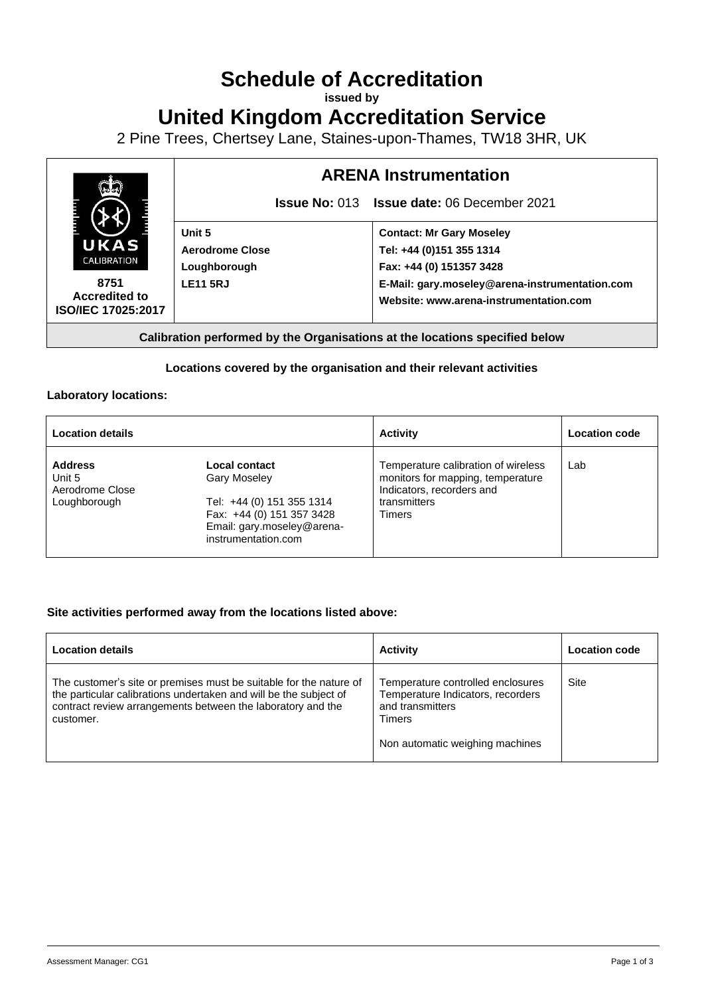# **Schedule of Accreditation**

**issued by**

**United Kingdom Accreditation Service**

2 Pine Trees, Chertsey Lane, Staines-upon-Thames, TW18 3HR, UK



## **Locations covered by the organisation and their relevant activities**

### **Laboratory locations:**

| <b>Location details</b>                                     |                                                                                                                                                     | <b>Activity</b>                                                                                                                 | <b>Location code</b> |
|-------------------------------------------------------------|-----------------------------------------------------------------------------------------------------------------------------------------------------|---------------------------------------------------------------------------------------------------------------------------------|----------------------|
| <b>Address</b><br>Unit 5<br>Aerodrome Close<br>Loughborough | Local contact<br><b>Gary Moseley</b><br>Tel: +44 (0) 151 355 1314<br>Fax: +44 (0) 151 357 3428<br>Email: gary.moseley@arena-<br>instrumentation.com | Temperature calibration of wireless<br>monitors for mapping, temperature<br>Indicators, recorders and<br>transmitters<br>Timers | Lab                  |

### **Site activities performed away from the locations listed above:**

| <b>Location details</b>                                                                                                                                                                                             | <b>Activity</b>                                                                                                                                | Location code |
|---------------------------------------------------------------------------------------------------------------------------------------------------------------------------------------------------------------------|------------------------------------------------------------------------------------------------------------------------------------------------|---------------|
| The customer's site or premises must be suitable for the nature of<br>the particular calibrations undertaken and will be the subject of<br>contract review arrangements between the laboratory and the<br>customer. | Temperature controlled enclosures<br>Temperature Indicators, recorders<br>and transmitters<br><b>Timers</b><br>Non automatic weighing machines | Site          |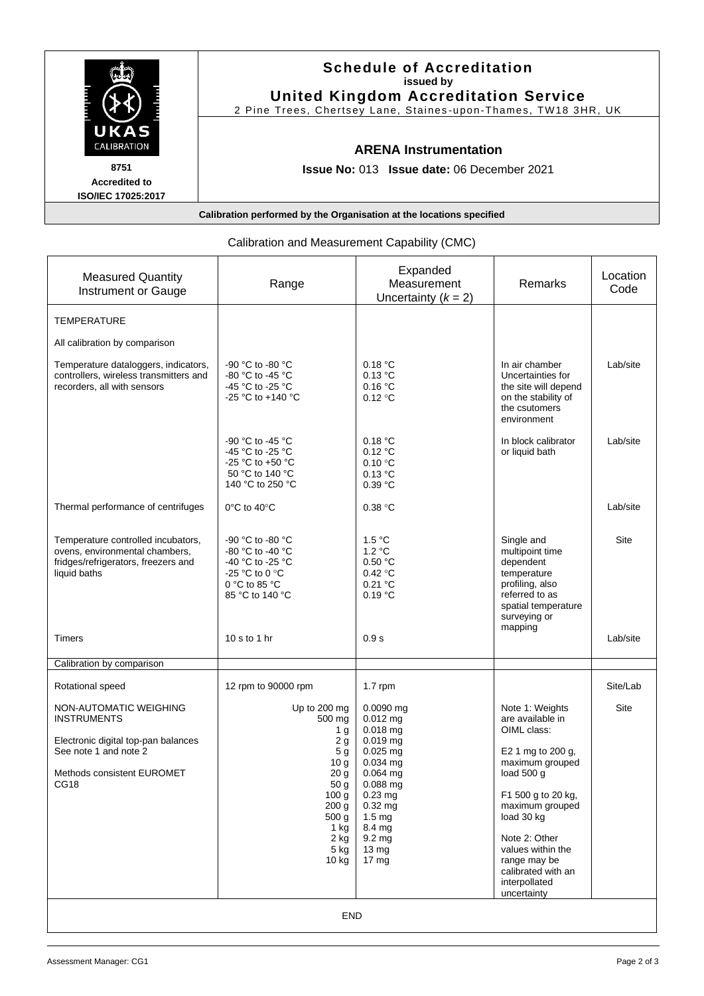|                                                                      | <b>Schedule of Accreditation</b><br>issued by<br><b>United Kingdom Accreditation Service</b><br>2 Pine Trees, Chertsey Lane, Staines-upon-Thames, TW18 3HR, UK |  |  |  |
|----------------------------------------------------------------------|----------------------------------------------------------------------------------------------------------------------------------------------------------------|--|--|--|
| UKAS<br><b>CALIBRATION</b>                                           | <b>ARENA Instrumentation</b>                                                                                                                                   |  |  |  |
| 8751<br><b>Accredited to</b><br><b>ISO/IEC 17025:2017</b>            | <b>Issue No: 013 Issue date: 06 December 2021</b>                                                                                                              |  |  |  |
| Calibration performed by the Organisation at the locations specified |                                                                                                                                                                |  |  |  |

| Calibration and Measurement Capability (CMC)                                                                                                       |                                                                                                                                                                                                     |                                                                                                                                                                                                                                |                                                                                                                                                                                                                                                                             |                  |  |  |  |
|----------------------------------------------------------------------------------------------------------------------------------------------------|-----------------------------------------------------------------------------------------------------------------------------------------------------------------------------------------------------|--------------------------------------------------------------------------------------------------------------------------------------------------------------------------------------------------------------------------------|-----------------------------------------------------------------------------------------------------------------------------------------------------------------------------------------------------------------------------------------------------------------------------|------------------|--|--|--|
| <b>Measured Quantity</b><br><b>Instrument or Gauge</b>                                                                                             | Range                                                                                                                                                                                               | Expanded<br>Measurement<br>Uncertainty $(k = 2)$                                                                                                                                                                               | Remarks                                                                                                                                                                                                                                                                     | Location<br>Code |  |  |  |
| TEMPERATURE                                                                                                                                        |                                                                                                                                                                                                     |                                                                                                                                                                                                                                |                                                                                                                                                                                                                                                                             |                  |  |  |  |
| All calibration by comparison                                                                                                                      |                                                                                                                                                                                                     |                                                                                                                                                                                                                                |                                                                                                                                                                                                                                                                             |                  |  |  |  |
| Temperature dataloggers, indicators,<br>controllers, wireless transmitters and<br>recorders, all with sensors                                      | -90 °C to -80 °C<br>-80 °C to -45 °C<br>-45 °C to -25 °C<br>-25 °C to +140 °C                                                                                                                       | 0.18 °C<br>0.13 °C<br>0.16 °C<br>0.12 °C                                                                                                                                                                                       | In air chamber<br>Uncertainties for<br>the site will depend<br>on the stability of<br>the csutomers<br>environment                                                                                                                                                          | Lab/site         |  |  |  |
|                                                                                                                                                    | -90 °C to -45 °C<br>-45 °C to -25 °C<br>-25 °C to +50 °C<br>50 °C to 140 °C<br>140 °C to 250 °C                                                                                                     | 0.18 °C<br>0.12 °C<br>0.10 °C<br>0.13 °C<br>0.39 °C                                                                                                                                                                            | In block calibrator<br>or liquid bath                                                                                                                                                                                                                                       | Lab/site         |  |  |  |
| Thermal performance of centrifuges                                                                                                                 | $0^{\circ}$ C to 40 $^{\circ}$ C                                                                                                                                                                    | 0.38 °C                                                                                                                                                                                                                        |                                                                                                                                                                                                                                                                             | Lab/site         |  |  |  |
| Temperature controlled incubators,<br>ovens, environmental chambers,<br>fridges/refrigerators, freezers and<br>liquid baths                        | -90 °C to -80 °C<br>-80 °C to -40 °C<br>-40 °C to -25 °C<br>-25 °C to 0 °C<br>0 °C to 85 °C<br>85 °C to 140 °C                                                                                      | 1.5 °C<br>1.2 °C<br>0.50 °C<br>0.42 °C<br>0.21 °C<br>0.19 °C                                                                                                                                                                   | Single and<br>multipoint time<br>dependent<br>temperature<br>profiling, also<br>referred to as<br>spatial temperature<br>surveying or                                                                                                                                       | Site             |  |  |  |
| Timers                                                                                                                                             | 10 s to 1 hr                                                                                                                                                                                        | 0.9 s                                                                                                                                                                                                                          | mapping                                                                                                                                                                                                                                                                     | Lab/site         |  |  |  |
| Calibration by comparison                                                                                                                          |                                                                                                                                                                                                     |                                                                                                                                                                                                                                |                                                                                                                                                                                                                                                                             |                  |  |  |  |
| Rotational speed                                                                                                                                   | 12 rpm to 90000 rpm                                                                                                                                                                                 | $1.7$ rpm                                                                                                                                                                                                                      |                                                                                                                                                                                                                                                                             | Site/Lab         |  |  |  |
| NON-AUTOMATIC WEIGHING<br><b>INSTRUMENTS</b><br>Electronic digital top-pan balances<br>See note 1 and note 2<br>Methods consistent EUROMET<br>CG18 | Up to 200 mg<br>500 mg<br>1 <sub>q</sub><br>2g<br>5 <sub>g</sub><br>10g<br>20 g<br>50 <sub>g</sub><br>100 <sub>g</sub><br>200 <sub>g</sub><br>500 <sub>g</sub><br>1 kg<br>2 kg<br>$5$ kg<br>$10$ kg | $0.0090$ mg<br>$0.012$ mg<br>0.018 mg<br>$0.019$ mg<br>$0.025$ mg<br>$0.034$ mg<br>0.064 mg<br>$0.088$ mg<br>$0.23$ mg<br>$0.32$ ma<br>1.5 <sub>mq</sub><br>8.4 mg<br>9.2 <sub>mg</sub><br>$13 \text{ mg}$<br>17 <sub>mg</sub> | Note 1: Weights<br>are available in<br>OIML class:<br>E2 1 mg to 200 g,<br>maximum grouped<br>load 500 g<br>F1 500 g to 20 kg,<br>maximum grouped<br>load 30 kg<br>Note 2: Other<br>values within the<br>range may be<br>calibrated with an<br>interpollated<br>uncertainty | Site             |  |  |  |

# Calibration and Measurement Capability (CMC)